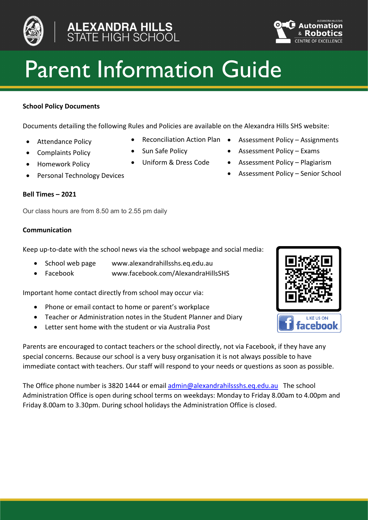



# Parent Information Guide

# **School Policy Documents**

Documents detailing the following Rules and Policies are available on the Alexandra Hills SHS website:

- 
- 
- 
- 

## **Bell Times – 2021**

Our class hours are from 8.50 am to 2.55 pm daily

## **Communication**

Keep up-to-date with the school news via the school webpage and social media:

- School web page www.alexandrahillsshs.eq.edu.au
- Facebook www.facebook.com/AlexandraHillsSHS

Important home contact directly from school may occur via:

- Phone or email contact to home or parent's workplace
- Teacher or Administration notes in the Student Planner and Diary
- Letter sent home with the student or via Australia Post

Parents are encouraged to contact teachers or the school directly, not via Facebook, if they have any special concerns. Because our school is a very busy organisation it is not always possible to have immediate contact with teachers. Our staff will respond to your needs or questions as soon as possible.

The Office phone number is 3820 1444 or email [admin@alexandrahilssshs.eq.edu.au](mailto:admin@alexandrahilssshs.eq.edu.au) The school Administration Office is open during school terms on weekdays: Monday to Friday 8.00am to 4.00pm and Friday 8.00am to 3.30pm. During school holidays the Administration Office is closed.

- Attendance Policy Reconciliation Action Plan Assessment Policy Assignments
	-
	-
- Complaints Policy Sun Safe Policy Assessment Policy Exams
- Homework Policy Uniform & Dress Code Assessment Policy Plagiarism
- Personal Technology Devices Contract Contract Assessment Policy Senior School

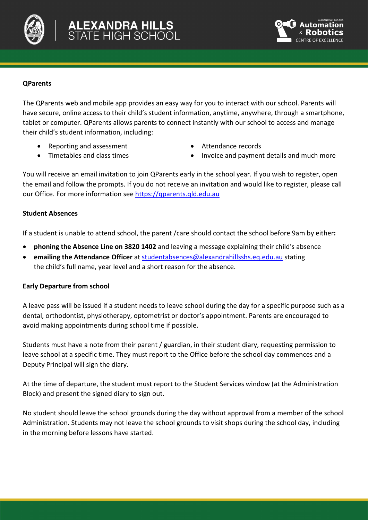



# **QParents**

The QParents web and mobile app provides an easy way for you to interact with our school. Parents will have secure, online access to their child's student information, anytime, anywhere, through a smartphone, tablet or computer. QParents allows parents to connect instantly with our school to access and manage their child's student information, including:

- Reporting and assessment
- Timetables and class times
- Attendance records
- Invoice and payment details and much more

You will receive an email invitation to join QParents early in the school year. If you wish to register, open the email and follow the prompts. If you do not receive an invitation and would like to register, please call our Office. For more information se[e https://qparents.qld.edu.au](https://qparents.qld.edu.au/)

# **Student Absences**

If a student is unable to attend school, the parent /care should contact the school before 9am by either**:**

- **phoning the Absence Line on 3820 1402** and leaving a message explaining their child's absence
- **emailing the Attendance Officer** at [studentabsences@alexandrahillsshs.eq.edu.au](mailto:studentabsences@alexandrahillsshs.eq.edu.au) stating the child's full name, year level and a short reason for the absence.

# **Early Departure from school**

A leave pass will be issued if a student needs to leave school during the day for a specific purpose such as a dental, orthodontist, physiotherapy, optometrist or doctor's appointment. Parents are encouraged to avoid making appointments during school time if possible.

Students must have a note from their parent / guardian, in their student diary, requesting permission to leave school at a specific time. They must report to the Office before the school day commences and a Deputy Principal will sign the diary.

At the time of departure, the student must report to the Student Services window (at the Administration Block) and present the signed diary to sign out.

No student should leave the school grounds during the day without approval from a member of the school Administration. Students may not leave the school grounds to visit shops during the school day, including in the morning before lessons have started.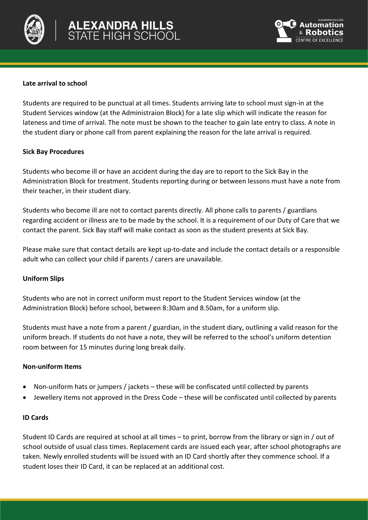



# **Late arrival to school**

Students are required to be punctual at all times. Students arriving late to school must sign-in at the Student Services window (at the Administraion Block) for a late slip which will indicate the reason for lateness and time of arrival. The note must be shown to the teacher to gain late entry to class. A note in the student diary or phone call from parent explaining the reason for the late arrival is required.

## **Sick Bay Procedures**

Students who become ill or have an accident during the day are to report to the Sick Bay in the Administration Block for treatment. Students reporting during or between lessons must have a note from their teacher, in their student diary.

Students who become ill are not to contact parents directly. All phone calls to parents / guardians regarding accident or illness are to be made by the school. It is a requirement of our Duty of Care that we contact the parent. Sick Bay staff will make contact as soon as the student presents at Sick Bay.

Please make sure that contact details are kept up-to-date and include the contact details or a responsible adult who can collect your child if parents / carers are unavailable.

#### **Uniform Slips**

Students who are not in correct uniform must report to the Student Services window (at the Administration Block) before school, between 8:30am and 8.50am, for a uniform slip.

Students must have a note from a parent / guardian, in the student diary, outlining a valid reason for the uniform breach. If students do not have a note, they will be referred to the school's uniform detention room between for 15 minutes during long break daily.

## **Non-uniform Items**

- Non-uniform hats or jumpers / jackets these will be confiscated until collected by parents
- Jewellery items not approved in the Dress Code these will be confiscated until collected by parents

## **ID Cards**

Student ID Cards are required at school at all times – to print, borrow from the library or sign in / out of school outside of usual class times. Replacement cards are issued each year, after school photographs are taken. Newly enrolled students will be issued with an ID Card shortly after they commence school. If a student loses their ID Card, it can be replaced at an additional cost.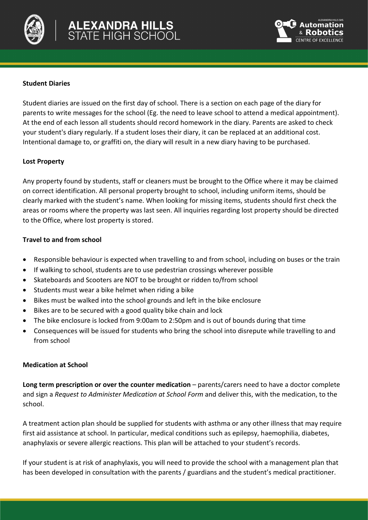



## **Student Diaries**

Student diaries are issued on the first day of school. There is a section on each page of the diary for parents to write messages for the school (Eg. the need to leave school to attend a medical appointment). At the end of each lesson all students should record homework in the diary. Parents are asked to check your student's diary regularly. If a student loses their diary, it can be replaced at an additional cost. Intentional damage to, or graffiti on, the diary will result in a new diary having to be purchased.

#### **Lost Property**

Any property found by students, staff or cleaners must be brought to the Office where it may be claimed on correct identification. All personal property brought to school, including uniform items, should be clearly marked with the student's name. When looking for missing items, students should first check the areas or rooms where the property was last seen. All inquiries regarding lost property should be directed to the Office, where lost property is stored.

# **Travel to and from school**

- Responsible behaviour is expected when travelling to and from school, including on buses or the train
- If walking to school, students are to use pedestrian crossings wherever possible
- Skateboards and Scooters are NOT to be brought or ridden to/from school
- Students must wear a bike helmet when riding a bike
- Bikes must be walked into the school grounds and left in the bike enclosure
- Bikes are to be secured with a good quality bike chain and lock
- The bike enclosure is locked from 9:00am to 2:50pm and is out of bounds during that time
- Consequences will be issued for students who bring the school into disrepute while travelling to and from school

#### **Medication at School**

**Long term prescription or over the counter medication** – parents/carers need to have a doctor complete and sign a *Request to Administer Medication at School Form* and deliver this, with the medication, to the school.

A treatment action plan should be supplied for students with asthma or any other illness that may require first aid assistance at school. In particular, medical conditions such as epilepsy, haemophilia, diabetes, anaphylaxis or severe allergic reactions. This plan will be attached to your student's records.

If your student is at risk of anaphylaxis, you will need to provide the school with a management plan that has been developed in consultation with the parents / guardians and the student's medical practitioner.